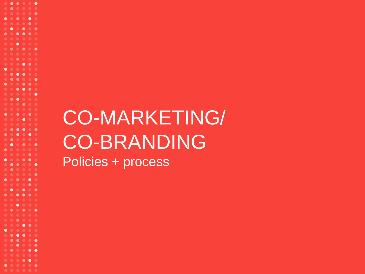# CO-MARKETING/ CO-BRANDING

Policies + process

 $\bullet\bullet\bullet$ 

 $\bullet$   $\bullet$ 

∙

 $\bullet$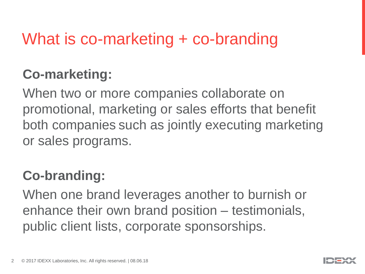## What is co-marketing + co-branding

## **Co-marketing:**

When two or more companies collaborate on promotional, marketing or sales efforts that benefit both companies such as jointly executing marketing or sales programs.

## **Co-branding:**

When one brand leverages another to burnish or enhance their own brand position – testimonials, public client lists, corporate sponsorships.

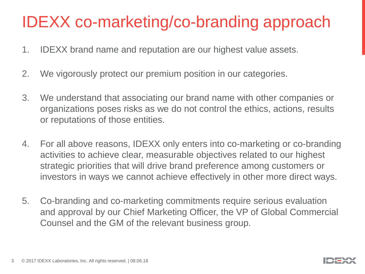## IDEXX co-marketing/co-branding approach

- 1. IDEXX brand name and reputation are our highest value assets.
- 2. We vigorously protect our premium position in our categories.
- 3. We understand that associating our brand name with other companies or organizations poses risks as we do not control the ethics, actions, results or reputations of those entities.
- 4. For all above reasons, IDEXX only enters into co-marketing or co-branding activities to achieve clear, measurable objectives related to our highest strategic priorities that will drive brand preference among customers or investors in ways we cannot achieve effectively in other more direct ways.
- 5. Co-branding and co-marketing commitments require serious evaluation and approval by our Chief Marketing Officer, the VP of Global Commercial Counsel and the GM of the relevant business group.

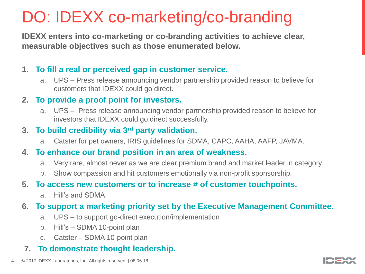## DO: IDEXX co-marketing/co-branding

**IDEXX enters into co-marketing or co-branding activities to achieve clear, measurable objectives such as those enumerated below.** 

## **1. To fill a real or perceived gap in customer service.**

a. UPS – Press release announcing vendor partnership provided reason to believe for customers that IDEXX could go direct.

## **2. To provide a proof point for investors.**

a. UPS – Press release announcing vendor partnership provided reason to believe for investors that IDEXX could go direct successfully.

### **3. To build credibility via 3rd party validation.**

a. Catster for pet owners, IRIS guidelines for SDMA, CAPC, AAHA, AAFP, JAVMA.

#### **4. To enhance our brand position in an area of weakness.**

- a. Very rare, almost never as we are clear premium brand and market leader in category.
- b. Show compassion and hit customers emotionally via non-profit sponsorship.

#### **5. To access new customers or to increase # of customer touchpoints.**

a. Hill's and SDMA.

## **6. To support a marketing priority set by the Executive Management Committee.**

- a. UPS to support go-direct execution/implementation
- b. Hill's SDMA 10-point plan
- c. Catster SDMA 10-point plan

## **7. To demonstrate thought leadership.**

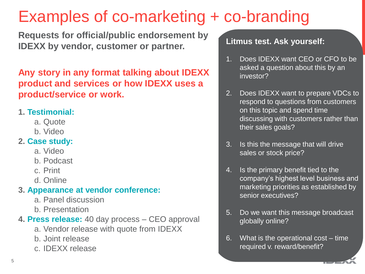## Examples of co-marketing + co-branding

**Requests for official/public endorsement by IDEXX by vendor, customer or partner.** 

**Any story in any format talking about IDEXX product and services or how IDEXX uses a product/service or work.**

## **1. Testimonial:**

- a. Quote
- b. Video

## **2. Case study:**

- a. Video
- b. Podcast
- c. Print
- d. Online

## **3. Appearance at vendor conference:**

- a. Panel discussion
- b. Presentation
- **4. Press release:** 40 day process CEO approval
	- a. Vendor release with quote from IDEXX
	- b. Joint release
	- c. IDEXX release

## **Litmus test. Ask yourself:**

- 1. Does IDEXX want CEO or CFO to be asked a question about this by an investor?
- 2. Does IDEXX want to prepare VDCs to respond to questions from customers on this topic and spend time discussing with customers rather than their sales goals?
- 3. Is this the message that will drive sales or stock price?
- 4. Is the primary benefit tied to the company's highest level business and marketing priorities as established by senior executives?
- 5. Do we want this message broadcast globally online?
- 6. What is the operational cost time required v. reward/benefit?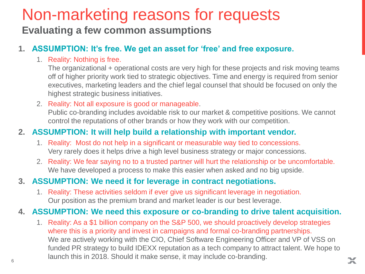## Non-marketing reasons for requests

## **Evaluating a few common assumptions**

## **1. ASSUMPTION: It's free. We get an asset for 'free' and free exposure.**

#### 1. Reality: Nothing is free.

The organizational + operational costs are very high for these projects and risk moving teams off of higher priority work tied to strategic objectives. Time and energy is required from senior executives, marketing leaders and the chief legal counsel that should be focused on only the highest strategic business initiatives.

#### 2. Reality: Not all exposure is good or manageable.

Public co-branding includes avoidable risk to our market & competitive positions. We cannot control the reputations of other brands or how they work with our competition.

### **2. ASSUMPTION: It will help build a relationship with important vendor.**

- 1. Reality: Most do not help in a significant or measurable way tied to concessions. Very rarely does it helps drive a high level business strategy or major concessions.
- 2. Reality: We fear saying no to a trusted partner will hurt the relationship or be uncomfortable. We have developed a process to make this easier when asked and no big upside.

### **3. ASSUMPTION: We need it for leverage in contract negotiations.**

1. Reality: These activities seldom if ever give us significant leverage in negotiation. Our position as the premium brand and market leader is our best leverage.

### **4. ASSUMPTION: We need this exposure or co-branding to drive talent acquisition.**

 $6$ 1. Reality: As a \$1 billion company on the S&P 500, we should proactively develop strategies where this is a priority and invest in campaigns and formal co-branding partnerships. We are actively working with the CIO, Chief Software Engineering Officer and VP of VSS on funded PR strategy to build IDEXX reputation as a tech company to attract talent. We hope to launch this in 2018. Should it make sense, it may include co-branding.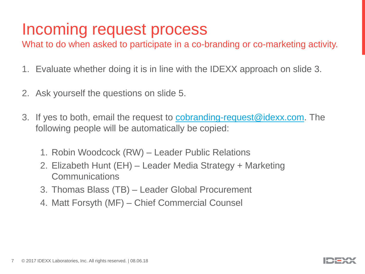## Incoming request process

What to do when asked to participate in a co-branding or co-marketing activity.

- 1. Evaluate whether doing it is in line with the IDEXX approach on slide 3.
- 2. Ask yourself the questions on slide 5.
- 3. If yes to both, email the request to [cobranding-request@idexx.com.](mailto:cobranding-request@idexx.com) The following people will be automatically be copied:
	- 1. Robin Woodcock (RW) Leader Public Relations
	- 2. Elizabeth Hunt (EH) Leader Media Strategy + Marketing Communications
	- 3. Thomas Blass (TB) Leader Global Procurement
	- 4. Matt Forsyth (MF) Chief Commercial Counsel

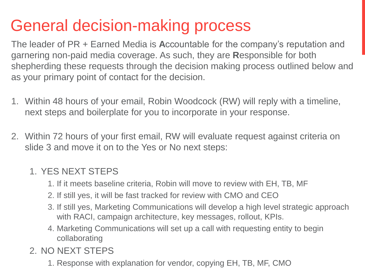## General decision-making process

The leader of PR + Earned Media is **A**ccountable for the company's reputation and garnering non-paid media coverage. As such, they are **R**esponsible for both shepherding these requests through the decision making process outlined below and as your primary point of contact for the decision.

- 1. Within 48 hours of your email, Robin Woodcock (RW) will reply with a timeline, next steps and boilerplate for you to incorporate in your response.
- 2. Within 72 hours of your first email, RW will evaluate request against criteria on slide 3 and move it on to the Yes or No next steps:

## 1. YES NEXT STEPS

- 1. If it meets baseline criteria, Robin will move to review with EH, TB, MF
- 2. If still yes, it will be fast tracked for review with CMO and CEO
- 3. If still yes, Marketing Communications will develop a high level strategic approach with RACI, campaign architecture, key messages, rollout, KPIs.
- 4. Marketing Communications will set up a call with requesting entity to begin collaborating
- 2. NO NEXT STEPS
- 1. Response with explanation for vendor, copying EH, TB, MF, CMO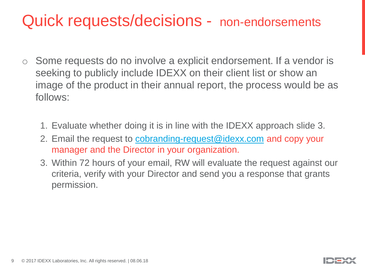## Quick requests/decisions - non-endorsements

- $\circ$  Some requests do no involve a explicit endorsement. If a vendor is seeking to publicly include IDEXX on their client list or show an image of the product in their annual report, the process would be as follows:
	- 1. Evaluate whether doing it is in line with the IDEXX approach slide 3.
	- 2. Email the request to [cobranding-request@idexx.com](mailto:cobranding-request@idexx.com) and copy your manager and the Director in your organization.
	- 3. Within 72 hours of your email, RW will evaluate the request against our criteria, verify with your Director and send you a response that grants permission.

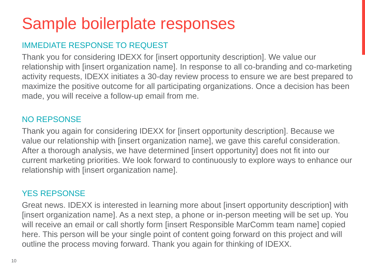## Sample boilerplate responses

## IMMEDIATE RESPONSE TO REQUEST

Thank you for considering IDEXX for [insert opportunity description]. We value our relationship with [insert organization name]. In response to all co-branding and co-marketing activity requests, IDEXX initiates a 30-day review process to ensure we are best prepared to maximize the positive outcome for all participating organizations. Once a decision has been made, you will receive a follow-up email from me.

## NO REPSONSE

Thank you again for considering IDEXX for [insert opportunity description]. Because we value our relationship with [insert organization name], we gave this careful consideration. After a thorough analysis, we have determined [insert opportunity] does not fit into our current marketing priorities. We look forward to continuously to explore ways to enhance our relationship with [insert organization name].

## YES REPSONSE

Great news. IDEXX is interested in learning more about [insert opportunity description] with [insert organization name]. As a next step, a phone or in-person meeting will be set up. You will receive an email or call shortly form [insert Responsible MarComm team name] copied here. This person will be your single point of content going forward on this project and will outline the process moving forward. Thank you again for thinking of IDEXX.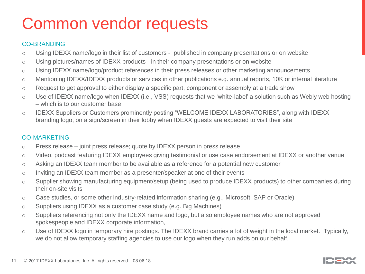## Common vendor requests

#### CO-BRANDING

- o Using IDEXX name/logo in their list of customers published in company presentations or on website
- o Using pictures/names of IDEXX products in their company presentations or on website
- o Using IDEXX name/logo/product references in their press releases or other marketing announcements
- o Mentioning IDEXX/IDEXX products or services in other publications e.g. annual reports, 10K or internal literature
- o Request to get approval to either display a specific part, component or assembly at a trade show
- o Use of IDEXX name/logo when IDEXX (i.e., VSS) requests that we 'white-label' a solution such as Webly web hosting – which is to our customer base
- o IDEXX Suppliers or Customers prominently posting "WELCOME IDEXX LABORATORIES", along with IDEXX branding logo, on a sign/screen in their lobby when IDEXX guests are expected to visit their site

#### CO-MARKETING

- o Press release joint press release; quote by IDEXX person in press release
- o Video, podcast featuring IDEXX employees giving testimonial or use case endorsement at IDEXX or another venue
- o Asking an IDEXX team member to be available as a reference for a potential new customer
- o Inviting an IDEXX team member as a presenter/speaker at one of their events
- o Supplier showing manufacturing equipment/setup (being used to produce IDEXX products) to other companies during their on-site visits
- o Case studies, or some other industry-related information sharing (e.g., Microsoft, SAP or Oracle)
- o Suppliers using IDEXX as a customer case study (e.g. Big Machines)
- o Suppliers referencing not only the IDEXX name and logo, but also employee names who are not approved spokespeople and IDEXX corporate information,
- o Use of IDEXX logo in temporary hire postings. The IDEXX brand carries a lot of weight in the local market. Typically, we do not allow temporary staffing agencies to use our logo when they run adds on our behalf.

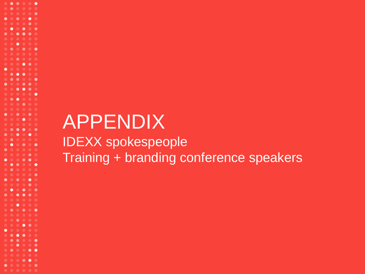## APPENDIX IDEXX spokespeople Training + branding conference speakers

. . . . . .

 $\bullet$ 

 $\bullet\text{ }\bullet\text{ }\bullet\text{ }\bullet\text{ }\bullet\text{ }\bullet\text{ }$ 

٠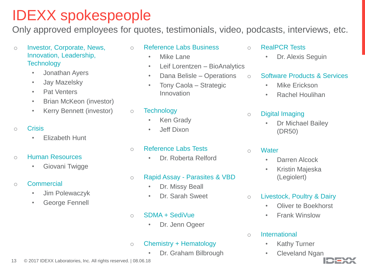## IDEXX spokespeople

Only approved employees for quotes, testimonials, video, podcasts, interviews, etc.

- o Investor, Corporate, News, Innovation, Leadership, **Technology** 
	- Jonathan Ayers
	- Jay Mazelsky
	- Pat Venters
	- Brian McKeon (investor)
	- Kerry Bennett (investor)

#### o Crisis

- Elizabeth Hunt
- o Human Resources
	- Giovani Twigge
- o Commercial
	- Jim Polewaczyk
	- George Fennell
- o Reference Labs Business
	- Mike Lane
	- Leif Lorentzen BioAnalytics
	- Dana Belisle Operations
	- Tony Caola Strategic Innovation

#### o Technology

- Ken Grady
- Jeff Dixon

#### o Reference Labs Tests

- Dr. Roberta Relford
- o Rapid Assay Parasites & VBD
	- Dr. Missy Beall
	- Dr. Sarah Sweet
- $\circ$  SDMA + SediVue
	- Dr. Jenn Ogeer

#### $\circ$  Chemistry + Hematology

• Dr. Graham Bilbrough

#### o RealPCR Tests

- Dr. Alexis Seguin
- o Software Products & Services
	- Mike Erickson
	- Rachel Houlihan

#### o Digital Imaging

• Dr Michael Bailey (DR50)

#### o Water

- Darren Alcock
- Kristin Majeska (Legiolert)
- o Livestock, Poultry & Dairy
	- Oliver te Boekhorst
	- Frank Winslow

#### o International

- Kathy Turner
- Cleveland Ngan